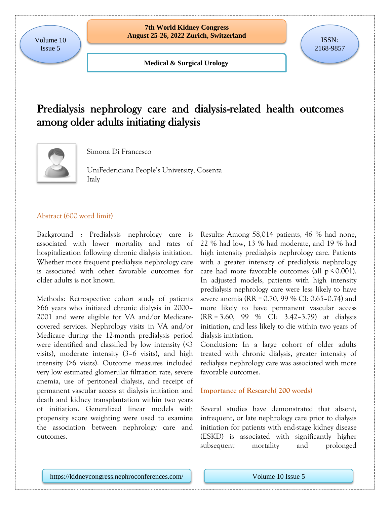**Medical & Surgical Urology**

## Predialysis nephrology care and dialysis-related health outcomes among older adults initiating dialysis



Simona Di Francesco

UniFedericiana People's University, Cosenza Italy

### Abstract (600 word limit)

Background : Predialysis nephrology care is associated with lower mortality and rates of hospitalization following chronic dialysis initiation. Whether more frequent predialysis nephrology care is associated with other favorable outcomes for older adults is not known.

Methods: Retrospective cohort study of patients ≥66 years who initiated chronic dialysis in 2000– 2001 and were eligible for VA and/or Medicarecovered services. Nephrology visits in VA and/or Medicare during the 12-month predialysis period were identified and classified by low intensity (<3 visits), moderate intensity (3–6 visits), and high intensity (>6 visits). Outcome measures included very low estimated glomerular filtration rate, severe anemia, use of peritoneal dialysis, and receipt of permanent vascular access at dialysis initiation and death and kidney transplantation within two years of initiation. Generalized linear models with propensity score weighting were used to examine the association between nephrology care and outcomes.

Results: Among 58,014 patients, 46 % had none, 22 % had low, 13 % had moderate, and 19 % had high intensity predialysis nephrology care. Patients with a greater intensity of predialysis nephrology care had more favorable outcomes (all  $p \le 0.001$ ). In adjusted models, patients with high intensity predialysis nephrology care were less likely to have severe anemia (RR = 0.70, 99 % CI: 0.65–0.74) and more likely to have permanent vascular access (RR = 3.60, 99 % CI: 3.42–3.79) at dialysis initiation, and less likely to die within two years of dialysis initiation.

Conclusion: In a large cohort of older adults treated with chronic dialysis, greater intensity of redialysis nephrology care was associated with more favorable outcomes.

### **Importance of Research( 200 words)**

Several studies have demonstrated that absent, infrequent, or late nephrology care prior to dialysis initiation for patients with end-stage kidney disease (ESKD) is associated with significantly higher subsequent mortality and prolonged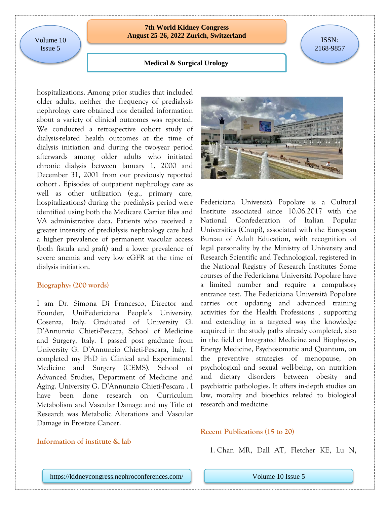Volume 10 Issue 5

### **7th World Kidney Congress August 25-26, 2022 Zurich, Switzerland** ISSN:

# 2168-9857

### **Medical & Surgical Urology**

hospitalizations. Among prior studies that included older adults, neither the frequency of predialysis nephrology care obtained nor detailed information about a variety of clinical outcomes was reported. We conducted a retrospective cohort study of dialysis-related health outcomes at the time of dialysis initiation and during the two-year period afterwards among older adults who initiated chronic dialysis between January 1, 2000 and December 31, 2001 from our previously reported cohort . Episodes of outpatient nephrology care as well as other utilization (e.g., primary care, hospitalizations) during the predialysis period were identified using both the Medicare Carrier files and VA administrative data. Patients who received a greater intensity of predialysis nephrology care had a higher prevalence of permanent vascular access (both fistula and graft) and a lower prevalence of severe anemia and very low eGFR at the time of dialysis initiation.

#### **Biography: (200 words)**

I am Dr. Simona Di Francesco, Director and Founder, UniFedericiana People's University, Cosenza, Italy. Graduated of University G. D'Annunzio Chieti-Pescara, School of Medicine and Surgery, Italy. I passed post graduate from University G. D'Annunzio Chieti-Pescara, Italy. I completed my PhD in Clinical and Experimental Medicine and Surgery (CEMS), School of Advanced Studies, Department of Medicine and Aging. University G. D'Annunzio Chieti-Pescara . I have been done research on Curriculum Metabolism and Vascular Damage and my Title of Research was Metabolic Alterations and Vascular Damage in Prostate Cancer.





Federiciana Università Popolare is a Cultural Institute associated since 10.06.2017 with the National Confederation of Italian Popular Universities (Cnupi), associated with the European Bureau of Adult Education, with recognition of legal personality by the Ministry of University and Research Scientific and Technological, registered in the National Registry of Research Institutes Some courses of the Federiciana Università Popolare have a limited number and require a compulsory entrance test. The Federiciana Università Popolare carries out updating and advanced training activities for the Health Professions , supporting and extending in a targeted way the knowledge acquired in the study paths already completed, also in the field of Integrated Medicine and Biophysics, Energy Medicine, Psychosomatic and Quantum, on the preventive strategies of menopause, on psychological and sexual well-being, on nutrition and dietary disorders between obesity and psychiatric pathologies. It offers in-depth studies on law, morality and bioethics related to biological research and medicine.

### **Recent Publications (15 to 20)**

1. Chan MR, Dall AT, Fletcher KE, Lu N,